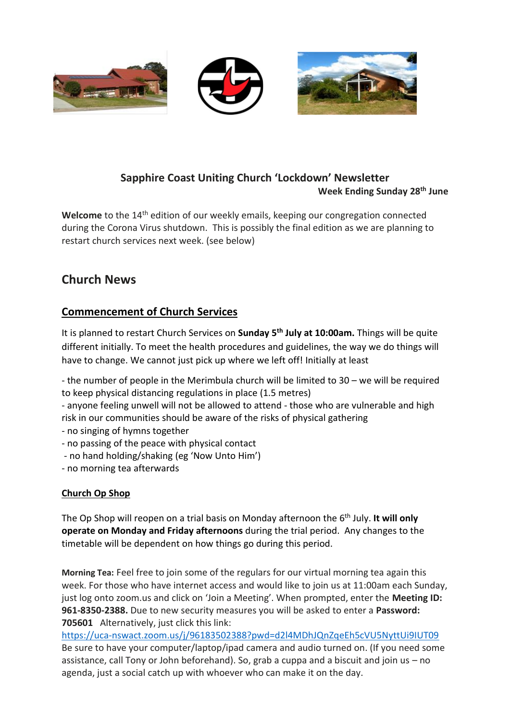

### **Sapphire Coast Uniting Church 'Lockdown' Newsletter Week Ending Sunday 28th June**

Welcome to the 14<sup>th</sup> edition of our weekly emails, keeping our congregation connected during the Corona Virus shutdown. This is possibly the final edition as we are planning to restart church services next week. (see below)

## **Church News**

## **Commencement of Church Services**

It is planned to restart Church Services on **Sunday 5 th July at 10:00am.** Things will be quite different initially. To meet the health procedures and guidelines, the way we do things will have to change. We cannot just pick up where we left off! Initially at least

- the number of people in the Merimbula church will be limited to 30 – we will be required to keep physical distancing regulations in place (1.5 metres)

- anyone feeling unwell will not be allowed to attend - those who are vulnerable and high risk in our communities should be aware of the risks of physical gathering

- no singing of hymns together
- no passing of the peace with physical contact
- no hand holding/shaking (eg 'Now Unto Him')
- no morning tea afterwards

### **Church Op Shop**

The Op Shop will reopen on a trial basis on Monday afternoon the 6 th July. **It will only operate on Monday and Friday afternoons** during the trial period. Any changes to the timetable will be dependent on how things go during this period.

**Morning Tea:** Feel free to join some of the regulars for our virtual morning tea again this week. For those who have internet access and would like to join us at 11:00am each Sunday, just log onto zoom.us and click on 'Join a Meeting'. When prompted, enter the **Meeting ID: 961-8350-2388.** Due to new security measures you will be asked to enter a **Password: 705601** Alternatively, just click this link:

<https://uca-nswact.zoom.us/j/96183502388?pwd=d2l4MDhJQnZqeEh5cVU5NyttUi9IUT09> Be sure to have your computer/laptop/ipad camera and audio turned on. (If you need some assistance, call Tony or John beforehand). So, grab a cuppa and a biscuit and join us – no agenda, just a social catch up with whoever who can make it on the day.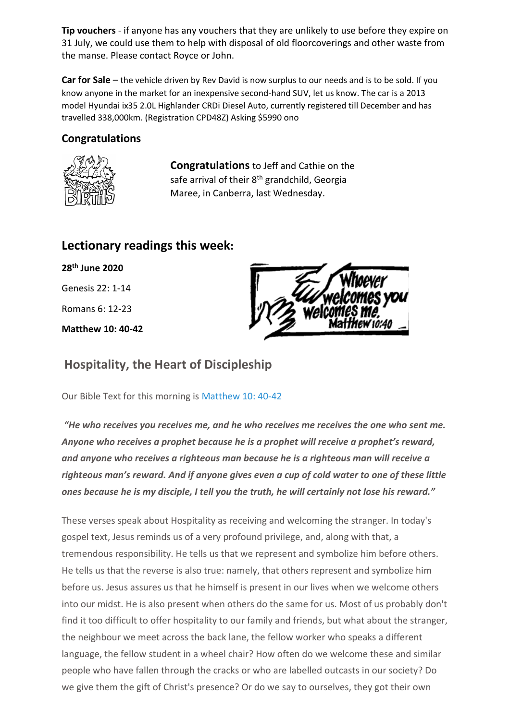**Tip vouchers** - if anyone has any vouchers that they are unlikely to use before they expire on 31 July, we could use them to help with disposal of old floorcoverings and other waste from the manse. Please contact Royce or John.

**Car for Sale** – the vehicle driven by Rev David is now surplus to our needs and is to be sold. If you know anyone in the market for an inexpensive second-hand SUV, let us know. The car is a 2013 model Hyundai ix35 2.0L Highlander CRDi Diesel Auto, currently registered till December and has travelled 338,000km. (Registration CPD48Z) Asking \$5990 ono

## **Congratulations**



**Congratulations** to Jeff and Cathie on the safe arrival of their 8<sup>th</sup> grandchild, Georgia Maree, in Canberra, last Wednesday.

## **Lectionary readings this week:**

**28th June 2020** Genesis 22: 1-14 Romans 6: 12-23 **Matthew 10: 40-42**



# **Hospitality, the Heart of Discipleship**

Our Bible Text for this morning is [Matthew 10: 40-42](https://biblia.com/bible/esv/Matt%2010.%2040-42)

*"He who receives you receives me, and he who receives me receives the one who sent me. Anyone who receives a prophet because he is a prophet will receive a prophet's reward, and anyone who receives a righteous man because he is a righteous man will receive a righteous man's reward. And if anyone gives even a cup of cold water to one of these little ones because he is my disciple, I tell you the truth, he will certainly not lose his reward."*

These verses speak about Hospitality as receiving and welcoming the stranger. In today's gospel text, Jesus reminds us of a very profound privilege, and, along with that, a tremendous responsibility. He tells us that we represent and symbolize him before others. He tells us that the reverse is also true: namely, that others represent and symbolize him before us. Jesus assures us that he himself is present in our lives when we welcome others into our midst. He is also present when others do the same for us. Most of us probably don't find it too difficult to offer hospitality to our family and friends, but what about the stranger, the neighbour we meet across the back lane, the fellow worker who speaks a different language, the fellow student in a wheel chair? How often do we welcome these and similar people who have fallen through the cracks or who are labelled outcasts in our society? Do we give them the gift of Christ's presence? Or do we say to ourselves, they got their own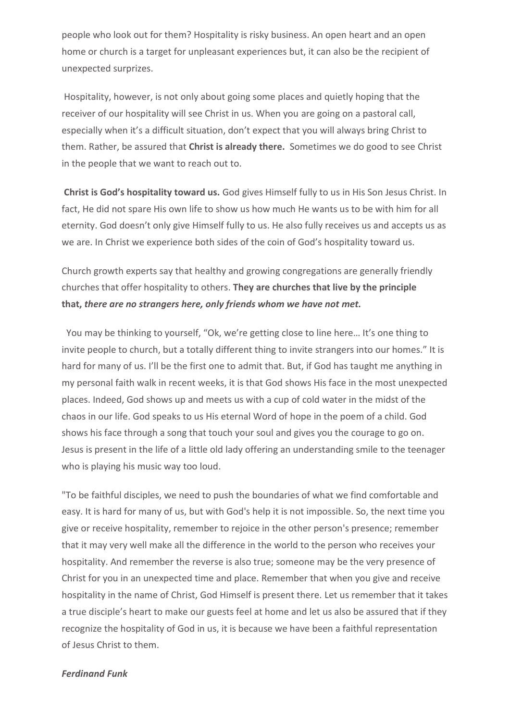people who look out for them? Hospitality is risky business. An open heart and an open home or church is a target for unpleasant experiences but, it can also be the recipient of unexpected surprizes.

Hospitality, however, is not only about going some places and quietly hoping that the receiver of our hospitality will see Christ in us. When you are going on a pastoral call, especially when it's a difficult situation, don't expect that you will always bring Christ to them. Rather, be assured that **Christ is already there.** Sometimes we do good to see Christ in the people that we want to reach out to.

**Christ is God's hospitality toward us.** God gives Himself fully to us in His Son Jesus Christ. In fact, He did not spare His own life to show us how much He wants us to be with him for all eternity. God doesn't only give Himself fully to us. He also fully receives us and accepts us as we are. In Christ we experience both sides of the coin of God's hospitality toward us.

Church growth experts say that healthy and growing congregations are generally friendly churches that offer hospitality to others. **They are churches that live by the principle that,** *there are no strangers here, only friends whom we have not met.*

You may be thinking to yourself, "Ok, we're getting close to line here… It's one thing to invite people to church, but a totally different thing to invite strangers into our homes." It is hard for many of us. I'll be the first one to admit that. But, if God has taught me anything in my personal faith walk in recent weeks, it is that God shows His face in the most unexpected places. Indeed, God shows up and meets us with a cup of cold water in the midst of the chaos in our life. God speaks to us His eternal Word of hope in the poem of a child. God shows his face through a song that touch your soul and gives you the courage to go on. Jesus is present in the life of a little old lady offering an understanding smile to the teenager who is playing his music way too loud.

"To be faithful disciples, we need to push the boundaries of what we find comfortable and easy. It is hard for many of us, but with God's help it is not impossible. So, the next time you give or receive hospitality, remember to rejoice in the other person's presence; remember that it may very well make all the difference in the world to the person who receives your hospitality. And remember the reverse is also true; someone may be the very presence of Christ for you in an unexpected time and place. Remember that when you give and receive hospitality in the name of Christ, God Himself is present there. Let us remember that it takes a true disciple's heart to make our guests feel at home and let us also be assured that if they recognize the hospitality of God in us, it is because we have been a faithful representation of Jesus Christ to them.

#### *Ferdinand Funk*